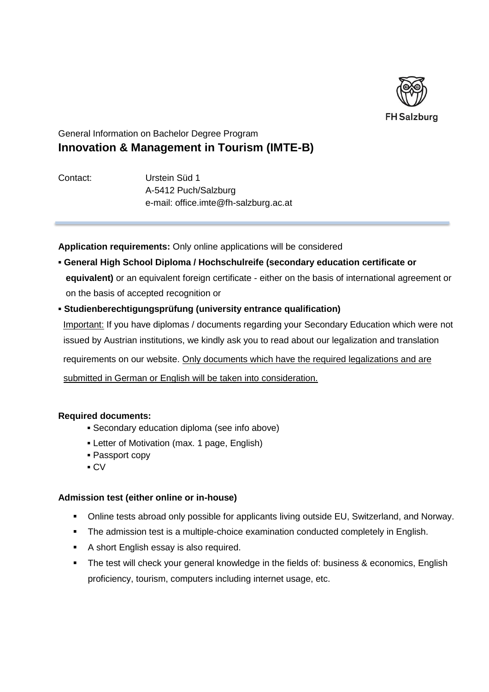

## General Information on Bachelor Degree Program **Innovation & Management in Tourism (IMTE-B)**

Contact: Urstein Süd 1 A-5412 Puch/Salzburg e-mail: [office.imte@fh-salzburg.ac.at](mailto:office.imte@fh-salzburg.ac.at)

**Application requirements:** Only online applications will be considered

- **▪ General High School Diploma / Hochschulreife (secondary education certificate or equivalent)** or an equivalent foreign certificate - either on the basis of international agreement or on the basis of accepted recognition or
- **▪ Studienberechtigungsprüfung (university entrance qualification)** Important: If you have diplomas / documents regarding your Secondary Education which were not issued by Austrian institutions, we kindly ask you to read about our legalization and translation requirements on our website. Only documents which have the required legalizations and are submitted in German or English will be taken into consideration.

### **Required documents:**

- **▪** Secondary education diploma (see info above)
- **▪** Letter of Motivation (max. 1 page, English)
- **▪** Passport copy
- **▪** CV

### **Admission test (either online or in-house)**

- Online tests abroad only possible for applicants living outside EU, Switzerland, and Norway.
- **•** The admission test is a multiple-choice examination conducted completely in English.
- A short English essay is also required.
- **•** The test will check your general knowledge in the fields of: business & economics, English proficiency, tourism, computers including internet usage, etc.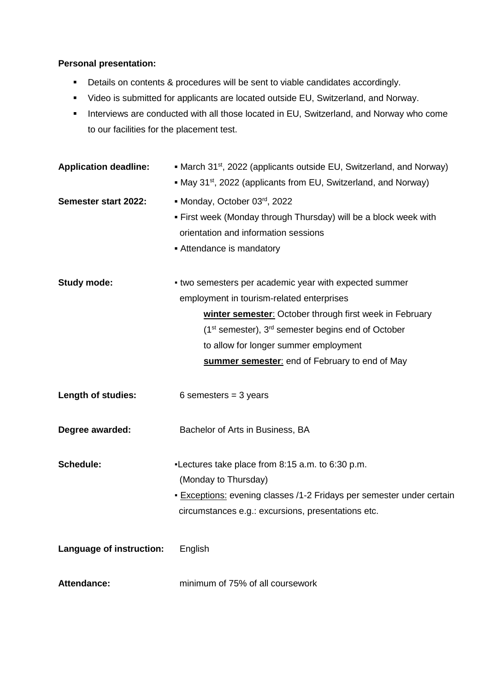## **Personal presentation:**

- Details on contents & procedures will be sent to viable candidates accordingly.
- Video is submitted for applicants are located outside EU, Switzerland, and Norway.
- **·** Interviews are conducted with all those located in EU, Switzerland, and Norway who come to our facilities for the placement test.

| <b>Application deadline:</b> | • March 31 <sup>st</sup> , 2022 (applicants outside EU, Switzerland, and Norway)<br>• May 31 <sup>st</sup> , 2022 (applicants from EU, Switzerland, and Norway) |
|------------------------------|-----------------------------------------------------------------------------------------------------------------------------------------------------------------|
|                              |                                                                                                                                                                 |
| Semester start 2022:         | • Monday, October 03rd, 2022                                                                                                                                    |
|                              | . First week (Monday through Thursday) will be a block week with                                                                                                |
|                              | orientation and information sessions                                                                                                                            |
|                              | Attendance is mandatory                                                                                                                                         |
| <b>Study mode:</b>           | . two semesters per academic year with expected summer                                                                                                          |
|                              | employment in tourism-related enterprises                                                                                                                       |
|                              | winter semester: October through first week in February                                                                                                         |
|                              | (1 <sup>st</sup> semester), 3 <sup>rd</sup> semester begins end of October                                                                                      |
|                              | to allow for longer summer employment                                                                                                                           |
|                              | summer semester: end of February to end of May                                                                                                                  |
| Length of studies:           | 6 semesters = $3$ years                                                                                                                                         |
| Degree awarded:              | Bachelor of Arts in Business, BA                                                                                                                                |
| <b>Schedule:</b>             | -Lectures take place from 8:15 a.m. to 6:30 p.m.                                                                                                                |
|                              | (Monday to Thursday)                                                                                                                                            |
|                              | - Exceptions: evening classes /1-2 Fridays per semester under certain                                                                                           |
|                              | circumstances e.g.: excursions, presentations etc.                                                                                                              |
| Language of instruction:     | English                                                                                                                                                         |
| <b>Attendance:</b>           | minimum of 75% of all coursework                                                                                                                                |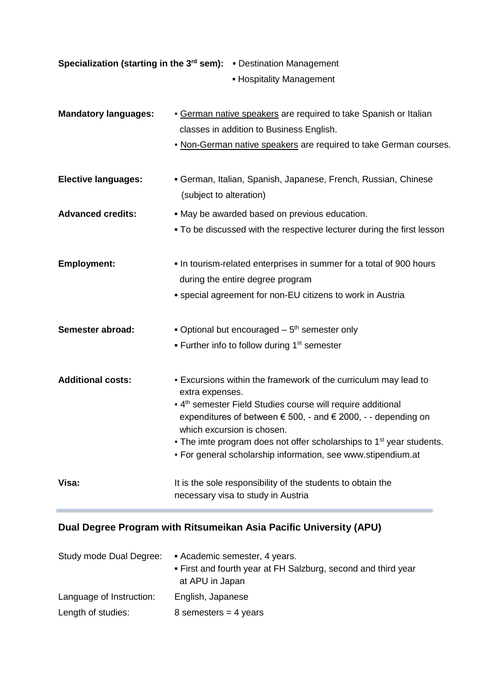| Specialization (starting in the 3 <sup>rd</sup> sem): Destination Management<br>- Hospitality Management |                                                                                                                                                                                                                                                                                                                                                                                                                                    |
|----------------------------------------------------------------------------------------------------------|------------------------------------------------------------------------------------------------------------------------------------------------------------------------------------------------------------------------------------------------------------------------------------------------------------------------------------------------------------------------------------------------------------------------------------|
| <b>Mandatory languages:</b>                                                                              | <b>- German native speakers are required to take Spanish or Italian</b><br>classes in addition to Business English.<br>- Non-German native speakers are required to take German courses.                                                                                                                                                                                                                                           |
| <b>Elective languages:</b>                                                                               | • German, Italian, Spanish, Japanese, French, Russian, Chinese<br>(subject to alteration)                                                                                                                                                                                                                                                                                                                                          |
| <b>Advanced credits:</b>                                                                                 | . May be awarded based on previous education.<br>• To be discussed with the respective lecturer during the first lesson                                                                                                                                                                                                                                                                                                            |
| <b>Employment:</b>                                                                                       | . In tourism-related enterprises in summer for a total of 900 hours<br>during the entire degree program<br>• special agreement for non-EU citizens to work in Austria                                                                                                                                                                                                                                                              |
| Semester abroad:                                                                                         | • Optional but encouraged $-5th$ semester only<br>• Further info to follow during 1 <sup>st</sup> semester                                                                                                                                                                                                                                                                                                                         |
| <b>Additional costs:</b>                                                                                 | - Excursions within the framework of the curriculum may lead to<br>extra expenses.<br>• 4 <sup>th</sup> semester Field Studies course will require additional<br>expenditures of between $\epsilon$ 500, - and $\epsilon$ 2000, - - depending on<br>which excursion is chosen.<br>• The imte program does not offer scholarships to 1 <sup>st</sup> year students.<br>• For general scholarship information, see www.stipendium.at |
| Visa:                                                                                                    | It is the sole responsibility of the students to obtain the<br>necessary visa to study in Austria                                                                                                                                                                                                                                                                                                                                  |

# **Dual Degree Program with Ritsumeikan Asia Pacific University (APU)**

| Study mode Dual Degree:  | • Academic semester, 4 years.                                                    |
|--------------------------|----------------------------------------------------------------------------------|
|                          | . First and fourth year at FH Salzburg, second and third year<br>at APU in Japan |
| Language of Instruction: | English, Japanese                                                                |
| Length of studies:       | 8 semesters = $4$ years                                                          |